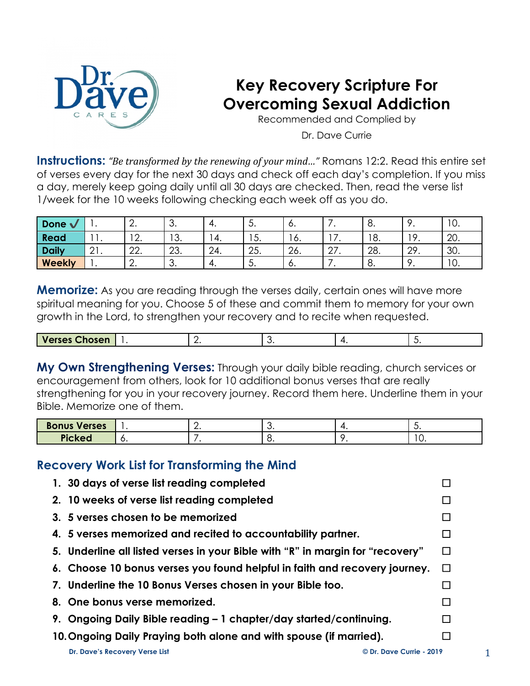

## **Key Recovery Scripture For Overcoming Sexual Addiction**

Recommended and Complied by

Dr. Dave Currie

**Instructions:** "Be transformed by the renewing of your mind..." Romans 12:2. Read this entire set of verses every day for the next 30 days and check off each day's completion. If you miss a day, merely keep going daily until all 30 days are checked. Then, read the verse list 1/week for the 10 weeks following checking each week off as you do.

| Done<br>$\bullet$ |          | <u>.</u>           | ັບ.           | ᠇.  | ັບ.      | o.            |        | Ő.  |        | $\sim$<br>U.  |
|-------------------|----------|--------------------|---------------|-----|----------|---------------|--------|-----|--------|---------------|
| Read              |          | $\sim$<br><u>.</u> | $\sim$<br>ູບ. | 4.  | -<br>. ט | о.            |        | 8.  | $\cap$ | $\cap$<br>zu. |
| <b>Daily</b>      | $\sim$ 1 | ററ<br>LL.          | ററ<br>zv.     | 24. | 25.      | $\sim$<br>zo. | $\sim$ | 28. | ာဝ     | ാറ<br>JU.     |
| <b>Weekly</b>     | . .      | <u>.</u>           | ັບ.           | ᠇.  | ັບ.      | о.            |        | Ő.  |        | $\sim$<br>U.  |

**Memorize:** As you are reading through the verses daily, certain ones will have more spiritual meaning for you. Choose 5 of these and commit them to memory for your own growth in the Lord, to strengthen your recovery and to recite when requested.

| $V$ $\sim$ re $\sim$ e<br>ean<br>.<br>╍ | <u>_</u> |  |  |
|-----------------------------------------|----------|--|--|
|                                         |          |  |  |

**My Own Strengthening Verses:** Through your daily bible reading, church services or encouragement from others, look for 10 additional bonus verses that are really strengthening for you in your recovery journey. Record them here. Underline them in your Bible. Memorize one of them.

| <b>Bonus Verses</b> |    | <u>.</u> | J. | J.  |
|---------------------|----|----------|----|-----|
| Picked              | J. |          | J. | ٠U. |

## **Recovery Work List for Transforming the Mind**

| 1. 30 days of verse list reading completed                                     |        |  |
|--------------------------------------------------------------------------------|--------|--|
| 2. 10 weeks of verse list reading completed                                    |        |  |
| 3. 5 verses chosen to be memorized                                             |        |  |
| 4. 5 verses memorized and recited to accountability partner.                   |        |  |
| 5. Underline all listed verses in your Bible with "R" in margin for "recovery" |        |  |
| 6. Choose 10 bonus verses you found helpful in faith and recovery journey.     | $\Box$ |  |
| 7. Underline the 10 Bonus Verses chosen in your Bible too.                     |        |  |
| 8. One bonus verse memorized.                                                  |        |  |
| 9. Ongoing Daily Bible reading - 1 chapter/day started/continuing.             |        |  |
| 10. Ongoing Daily Praying both alone and with spouse (if married).             |        |  |
| © Dr. Dave Currie - 2019<br>Dr. Dave's Recovery Verse List                     |        |  |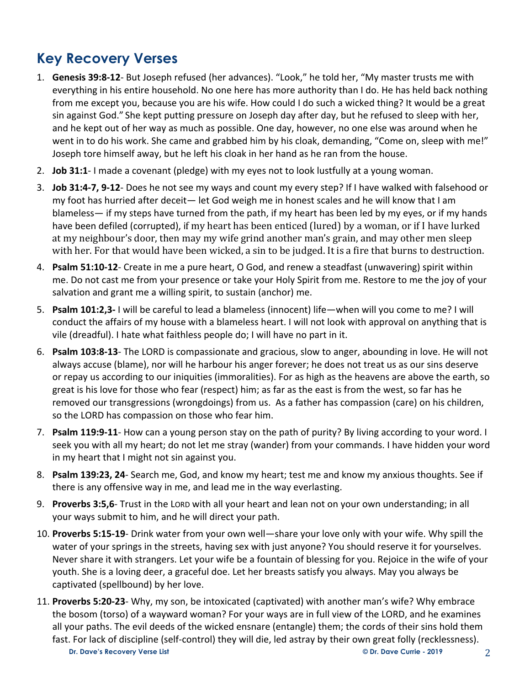## **Key Recovery Verses**

- 1. **Genesis 39:8-12** But Joseph refused (her advances). "Look," he told her, "My master trusts me with everything in his entire household. No one here has more authority than I do. He has held back nothing from me except you, because you are his wife. How could I do such a wicked thing? It would be a great sin against God." She kept putting pressure on Joseph day after day, but he refused to sleep with her, and he kept out of her way as much as possible. One day, however, no one else was around when he went in to do his work. She came and grabbed him by his cloak, demanding, "Come on, sleep with me!" Joseph tore himself away, but he left his cloak in her hand as he ran from the house.
- 2. **Job 31:1** I made a covenant (pledge) with my eyes not to look lustfully at a young woman.
- 3. **Job 31:4-7, 9-12** Does he not see my ways and count my every step? If I have walked with falsehood or my foot has hurried after deceit— let God weigh me in honest scales and he will know that I am blameless— if my steps have turned from the path, if my heart has been led by my eyes, or if my hands have been defiled (corrupted), if my heart has been enticed (lured) by a woman, or if I have lurked at my neighbour's door, then may my wife grind another man's grain, and may other men sleep with her. For that would have been wicked, a sin to be judged. It is a fire that burns to destruction.
- 4. **Psalm 51:10-12** Create in me a pure heart, O God, and renew a steadfast (unwavering) spirit within me. Do not cast me from your presence or take your Holy Spirit from me. Restore to me the joy of your salvation and grant me a willing spirit, to sustain (anchor) me.
- 5. **Psalm 101:2,3-** I will be careful to lead a blameless (innocent) life—when will you come to me? I will conduct the affairs of my house with a blameless heart. I will not look with approval on anything that is vile (dreadful). I hate what faithless people do; I will have no part in it.
- 6. **Psalm 103:8-13** The LORD is compassionate and gracious, slow to anger, abounding in love. He will not always accuse (blame), nor will he harbour his anger forever; he does not treat us as our sins deserve or repay us according to our iniquities (immoralities). For as high as the heavens are above the earth, so great is his love for those who fear (respect) him; as far as the east is from the west, so far has he removed our transgressions (wrongdoings) from us. As a father has compassion (care) on his children, so the LORD has compassion on those who fear him.
- 7. **Psalm 119:9-11** How can a young person stay on the path of purity? By living according to your word. I seek you with all my heart; do not let me stray (wander) from your commands. I have hidden your word in my heart that I might not sin against you.
- 8. **Psalm 139:23, 24** Search me, God, and know my heart; test me and know my anxious thoughts. See if there is any offensive way in me, and lead me in the way everlasting.
- 9. **Proverbs 3:5,6** Trust in the LORD with all your heart and lean not on your own understanding; in all your ways submit to him, and he will direct your path.
- 10. **Proverbs 5:15-19** Drink water from your own well—share your love only with your wife. Why spill the water of your springs in the streets, having sex with just anyone? You should reserve it for yourselves. Never share it with strangers. Let your wife be a fountain of blessing for you. Rejoice in the wife of your youth. She is a loving deer, a graceful doe. Let her breasts satisfy you always. May you always be captivated (spellbound) by her love.
- 11. **Proverbs 5:20-23** Why, my son, be intoxicated (captivated) with another man's wife? Why embrace the bosom (torso) of a wayward woman? For your ways are in full view of the LORD, and he examines all your paths. The evil deeds of the wicked ensnare (entangle) them; the cords of their sins hold them fast. For lack of discipline (self-control) they will die, led astray by their own great folly (recklessness).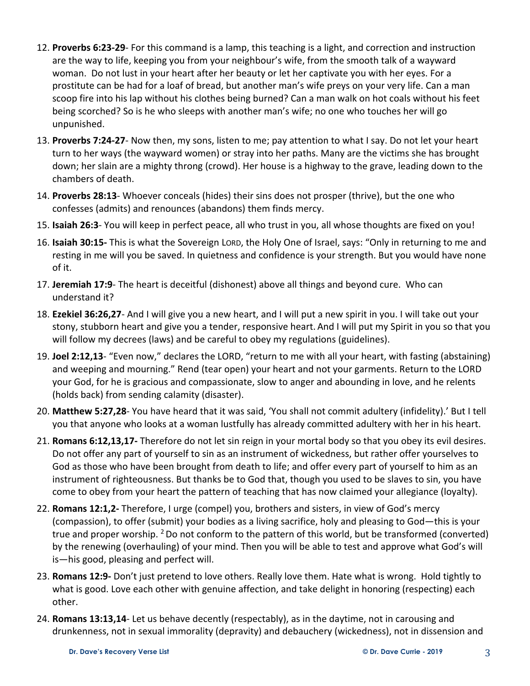- 12. **Proverbs 6:23-29** For this command is a lamp, this teaching is a light, and correction and instruction are the way to life, keeping you from your neighbour's wife, from the smooth talk of a wayward woman. Do not lust in your heart after her beauty or let her captivate you with her eyes. For a prostitute can be had for a loaf of bread, but another man's wife preys on your very life. Can a man scoop fire into his lap without his clothes being burned? Can a man walk on hot coals without his feet being scorched? So is he who sleeps with another man's wife; no one who touches her will go unpunished.
- 13. **Proverbs 7:24-27** Now then, my sons, listen to me; pay attention to what I say. Do not let your heart turn to her ways (the wayward women) or stray into her paths. Many are the victims she has brought down; her slain are a mighty throng (crowd). Her house is a highway to the grave, leading down to the chambers of death.
- 14. **Proverbs 28:13** Whoever conceals (hides) their sins does not prosper (thrive), but the one who confesses (admits) and renounces (abandons) them finds mercy.
- 15. **Isaiah 26:3** You will keep in perfect peace, all who trust in you, all whose thoughts are fixed on you!
- 16. **Isaiah 30:15-** This is what the Sovereign LORD, the Holy One of Israel, says: "Only in returning to me and resting in me will you be saved. In quietness and confidence is your strength. But you would have none of it.
- 17. **Jeremiah 17:9** The heart is deceitful (dishonest) above all things and beyond cure. Who can understand it?
- 18. **Ezekiel 36:26,27** And I will give you a new heart, and I will put a new spirit in you. I will take out your stony, stubborn heart and give you a tender, responsive heart. And I will put my Spirit in you so that you will follow my decrees (laws) and be careful to obey my regulations (guidelines).
- 19. **Joel 2:12,13** "Even now," declares the LORD, "return to me with all your heart, with fasting (abstaining) and weeping and mourning." Rend (tear open) your heart and not your garments. Return to the LORD your God, for he is gracious and compassionate, slow to anger and abounding in love, and he relents (holds back) from sending calamity (disaster).
- 20. **Matthew 5:27,28** You have heard that it was said, 'You shall not commit adultery (infidelity).' But I tell you that anyone who looks at a woman lustfully has already committed adultery with her in his heart.
- 21. **Romans 6:12,13,17-** Therefore do not let sin reign in your mortal body so that you obey its evil desires. Do not offer any part of yourself to sin as an instrument of wickedness, but rather offer yourselves to God as those who have been brought from death to life; and offer every part of yourself to him as an instrument of righteousness. But thanks be to God that, though you used to be slaves to sin, you have come to obey from your heart the pattern of teaching that has now claimed your allegiance (loyalty).
- 22. **Romans 12:1,2-** Therefore, I urge (compel) you, brothers and sisters, in view of God's mercy (compassion), to offer (submit) your bodies as a living sacrifice, holy and pleasing to God—this is your true and proper worship. <sup>2</sup> Do not conform to the pattern of this world, but be transformed (converted) by the renewing (overhauling) of your mind. Then you will be able to test and approve what God's will is—his good, pleasing and perfect will.
- 23. **Romans 12:9-** Don't just pretend to love others. Really love them. Hate what is wrong. Hold tightly to what is good. Love each other with genuine affection, and take delight in honoring (respecting) each other.
- 24. **Romans 13:13,14** Let us behave decently (respectably), as in the daytime, not in carousing and drunkenness, not in sexual immorality (depravity) and debauchery (wickedness), not in dissension and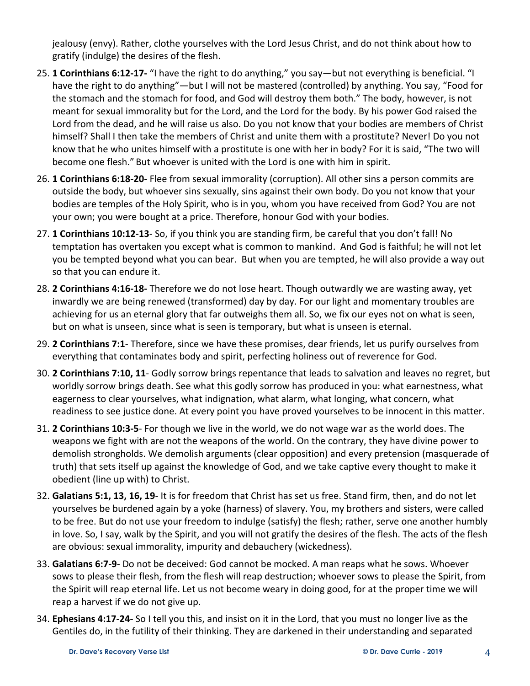jealousy (envy). Rather, clothe yourselves with the Lord Jesus Christ, and do not think about how to gratify (indulge) the desires of the flesh.

- 25. **1 Corinthians 6:12-17-** "I have the right to do anything," you say—but not everything is beneficial. "I have the right to do anything"—but I will not be mastered (controlled) by anything. You say, "Food for the stomach and the stomach for food, and God will destroy them both." The body, however, is not meant for sexual immorality but for the Lord, and the Lord for the body. By his power God raised the Lord from the dead, and he will raise us also. Do you not know that your bodies are members of Christ himself? Shall I then take the members of Christ and unite them with a prostitute? Never! Do you not know that he who unites himself with a prostitute is one with her in body? For it is said, "The two will become one flesh." But whoever is united with the Lord is one with him in spirit.
- 26. **1 Corinthians 6:18-20** Flee from sexual immorality (corruption). All other sins a person commits are outside the body, but whoever sins sexually, sins against their own body. Do you not know that your bodies are temples of the Holy Spirit, who is in you, whom you have received from God? You are not your own; you were bought at a price. Therefore, honour God with your bodies.
- 27. **1 Corinthians 10:12-13** So, if you think you are standing firm, be careful that you don't fall! No temptation has overtaken you except what is common to mankind. And God is faithful; he will not let you be tempted beyond what you can bear. But when you are tempted, he will also provide a way out so that you can endure it.
- 28. **2 Corinthians 4:16-18-** Therefore we do not lose heart. Though outwardly we are wasting away, yet inwardly we are being renewed (transformed) day by day. For our light and momentary troubles are achieving for us an eternal glory that far outweighs them all. So, we fix our eyes not on what is seen, but on what is unseen, since what is seen is temporary, but what is unseen is eternal.
- 29. **2 Corinthians 7:1** Therefore, since we have these promises, dear friends, let us purify ourselves from everything that contaminates body and spirit, perfecting holiness out of reverence for God.
- 30. **2 Corinthians 7:10, 11** Godly sorrow brings repentance that leads to salvation and leaves no regret, but worldly sorrow brings death. See what this godly sorrow has produced in you: what earnestness, what eagerness to clear yourselves, what indignation, what alarm, what longing, what concern, what readiness to see justice done. At every point you have proved yourselves to be innocent in this matter.
- 31. **2 Corinthians 10:3-5** For though we live in the world, we do not wage war as the world does. The weapons we fight with are not the weapons of the world. On the contrary, they have divine power to demolish strongholds. We demolish arguments (clear opposition) and every pretension (masquerade of truth) that sets itself up against the knowledge of God, and we take captive every thought to make it obedient (line up with) to Christ.
- 32. **Galatians 5:1, 13, 16, 19** It is for freedom that Christ has set us free. Stand firm, then, and do not let yourselves be burdened again by a yoke (harness) of slavery. You, my brothers and sisters, were called to be free. But do not use your freedom to indulge (satisfy) the flesh; rather, serve one another humbly in love. So, I say, walk by the Spirit, and you will not gratify the desires of the flesh. The acts of the flesh are obvious: sexual immorality, impurity and debauchery (wickedness).
- 33. **Galatians 6:7-9** Do not be deceived: God cannot be mocked. A man reaps what he sows. Whoever sows to please their flesh, from the flesh will reap destruction; whoever sows to please the Spirit, from the Spirit will reap eternal life. Let us not become weary in doing good, for at the proper time we will reap a harvest if we do not give up.
- 34. **Ephesians 4:17-24-** So I tell you this, and insist on it in the Lord, that you must no longer live as the Gentiles do, in the futility of their thinking. They are darkened in their understanding and separated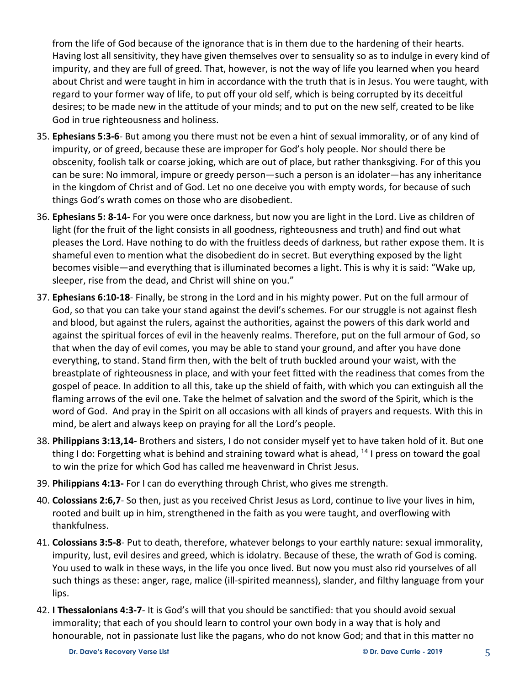from the life of God because of the ignorance that is in them due to the hardening of their hearts. Having lost all sensitivity, they have given themselves over to sensuality so as to indulge in every kind of impurity, and they are full of greed. That, however, is not the way of life you learned when you heard about Christ and were taught in him in accordance with the truth that is in Jesus. You were taught, with regard to your former way of life, to put off your old self, which is being corrupted by its deceitful desires; to be made new in the attitude of your minds; and to put on the new self, created to be like God in true righteousness and holiness.

- 35. **Ephesians 5:3-6** But among you there must not be even a hint of sexual immorality, or of any kind of impurity, or of greed, because these are improper for God's holy people. Nor should there be obscenity, foolish talk or coarse joking, which are out of place, but rather thanksgiving. For of this you can be sure: No immoral, impure or greedy person—such a person is an idolater—has any inheritance in the kingdom of Christ and of God. Let no one deceive you with empty words, for because of such things God's wrath comes on those who are disobedient.
- 36. **Ephesians 5: 8-14** For you were once darkness, but now you are light in the Lord. Live as children of light (for the fruit of the light consists in all goodness, righteousness and truth) and find out what pleases the Lord. Have nothing to do with the fruitless deeds of darkness, but rather expose them. It is shameful even to mention what the disobedient do in secret. But everything exposed by the light becomes visible—and everything that is illuminated becomes a light. This is why it is said: "Wake up, sleeper, rise from the dead, and Christ will shine on you."
- 37. **Ephesians 6:10-18** Finally, be strong in the Lord and in his mighty power. Put on the full armour of God, so that you can take your stand against the devil's schemes. For our struggle is not against flesh and blood, but against the rulers, against the authorities, against the powers of this dark world and against the spiritual forces of evil in the heavenly realms. Therefore, put on the full armour of God, so that when the day of evil comes, you may be able to stand your ground, and after you have done everything, to stand. Stand firm then, with the belt of truth buckled around your waist, with the breastplate of righteousness in place, and with your feet fitted with the readiness that comes from the gospel of peace. In addition to all this, take up the shield of faith, with which you can extinguish all the flaming arrows of the evil one. Take the helmet of salvation and the sword of the Spirit, which is the word of God. And pray in the Spirit on all occasions with all kinds of prayers and requests. With this in mind, be alert and always keep on praying for all the Lord's people.
- 38. **Philippians 3:13,14** Brothers and sisters, I do not consider myself yet to have taken hold of it. But one thing I do: Forgetting what is behind and straining toward what is ahead,  $^{14}$  I press on toward the goal to win the prize for which God has called me heavenward in Christ Jesus.
- 39. **Philippians 4:13-** For I can do everything through Christ, who gives me strength.
- 40. **Colossians 2:6,7** So then, just as you received Christ Jesus as Lord, continue to live your lives in him, rooted and built up in him, strengthened in the faith as you were taught, and overflowing with thankfulness.
- 41. **Colossians 3:5-8** Put to death, therefore, whatever belongs to your earthly nature: sexual immorality, impurity, lust, evil desires and greed, which is idolatry. Because of these, the wrath of God is coming. You used to walk in these ways, in the life you once lived. But now you must also rid yourselves of all such things as these: anger, rage, malice (ill-spirited meanness), slander, and filthy language from your lips.
- 42. **I Thessalonians 4:3-7** It is God's will that you should be sanctified: that you should avoid sexual immorality; that each of you should learn to control your own body in a way that is holy and honourable, not in passionate lust like the pagans, who do not know God; and that in this matter no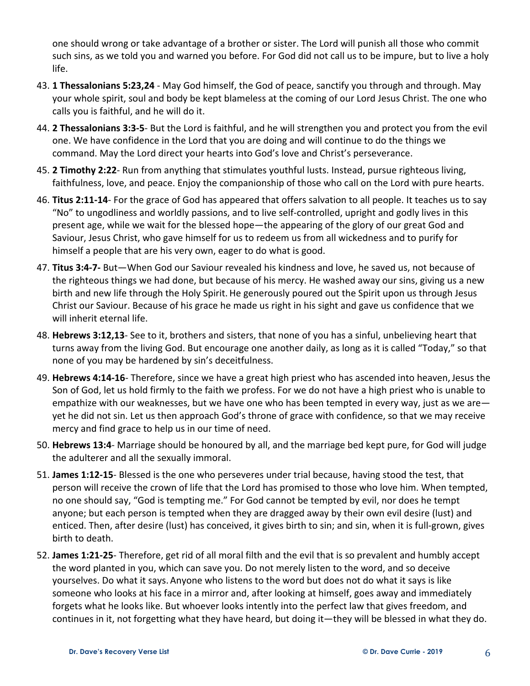one should wrong or take advantage of a brother or sister. The Lord will punish all those who commit such sins, as we told you and warned you before. For God did not call us to be impure, but to live a holy life.

- 43. **1 Thessalonians 5:23,24** May God himself, the God of peace, sanctify you through and through. May your whole spirit, soul and body be kept blameless at the coming of our Lord Jesus Christ. The one who calls you is faithful, and he will do it.
- 44. **2 Thessalonians 3:3-5** But the Lord is faithful, and he will strengthen you and protect you from the evil one. We have confidence in the Lord that you are doing and will continue to do the things we command. May the Lord direct your hearts into God's love and Christ's perseverance.
- 45. **2 Timothy 2:22** Run from anything that stimulates youthful lusts. Instead, pursue righteous living, faithfulness, love, and peace. Enjoy the companionship of those who call on the Lord with pure hearts.
- 46. **Titus 2:11-14** For the grace of God has appeared that offers salvation to all people. It teaches us to say "No" to ungodliness and worldly passions, and to live self-controlled, upright and godly lives in this present age, while we wait for the blessed hope—the appearing of the glory of our great God and Saviour, Jesus Christ, who gave himself for us to redeem us from all wickedness and to purify for himself a people that are his very own, eager to do what is good.
- 47. **Titus 3:4-7-** But—When God our Saviour revealed his kindness and love, he saved us, not because of the righteous things we had done, but because of his mercy. He washed away our sins, giving us a new birth and new life through the Holy Spirit. He generously poured out the Spirit upon us through Jesus Christ our Saviour. Because of his grace he made us right in his sight and gave us confidence that we will inherit eternal life.
- 48. **Hebrews 3:12,13** See to it, brothers and sisters, that none of you has a sinful, unbelieving heart that turns away from the living God. But encourage one another daily, as long as it is called "Today," so that none of you may be hardened by sin's deceitfulness.
- 49. **Hebrews 4:14-16** Therefore, since we have a great high priest who has ascended into heaven,Jesus the Son of God, let us hold firmly to the faith we profess. For we do not have a high priest who is unable to empathize with our weaknesses, but we have one who has been tempted in every way, just as we are yet he did not sin. Let us then approach God's throne of grace with confidence, so that we may receive mercy and find grace to help us in our time of need.
- 50. **Hebrews 13:4** Marriage should be honoured by all, and the marriage bed kept pure, for God will judge the adulterer and all the sexually immoral.
- 51. **James 1:12-15** Blessed is the one who perseveres under trial because, having stood the test, that person will receive the crown of life that the Lord has promised to those who love him. When tempted, no one should say, "God is tempting me." For God cannot be tempted by evil, nor does he tempt anyone; but each person is tempted when they are dragged away by their own evil desire (lust) and enticed. Then, after desire (lust) has conceived, it gives birth to sin; and sin, when it is full-grown, gives birth to death.
- 52. **James 1:21-25** Therefore, get rid of all moral filth and the evil that is so prevalent and humbly accept the word planted in you, which can save you. Do not merely listen to the word, and so deceive yourselves. Do what it says. Anyone who listens to the word but does not do what it says is like someone who looks at his face in a mirror and, after looking at himself, goes away and immediately forgets what he looks like. But whoever looks intently into the perfect law that gives freedom, and continues in it, not forgetting what they have heard, but doing it—they will be blessed in what they do.